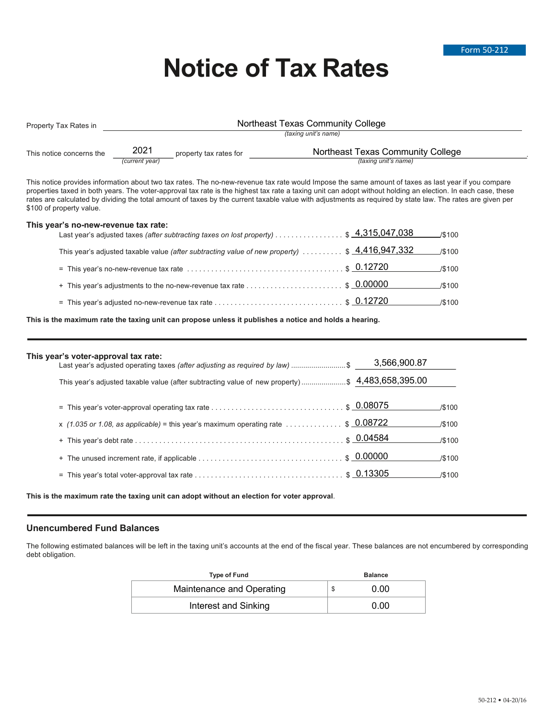# **Notice of Tax Rates**

| Property Tax Rates in    |                             |                        | Northeast Texas Community College                                |  |  |
|--------------------------|-----------------------------|------------------------|------------------------------------------------------------------|--|--|
|                          | <i>(taxing unit's name)</i> |                        |                                                                  |  |  |
| This notice concerns the | 2021<br>(current year)      | property tax rates for | Northeast Texas Community College<br><i>(taxing unit's name)</i> |  |  |

This notice provides information about two tax rates. The no-new-revenue tax rate would Impose the same amount of taxes as last year if you compare properties taxed in both years. The voter-approval tax rate is the highest tax rate a taxing unit can adopt without holding an election. In each case, these rates are calculated by dividing the total amount of taxes by the current taxable value with adjustments as required by state law. The rates are given per \$100 of property value.

#### **This year's no-new-revenue tax rate:**

| Last year's adjusted taxes (after subtracting taxes on lost property) \$ 4,315,047,038                                   |                        | $\cup$ \$100 |
|--------------------------------------------------------------------------------------------------------------------------|------------------------|--------------|
| This year's adjusted taxable value (after subtracting value of new property)  \$ 4,416,947,332                           |                        | $\cup$ \$100 |
| = This year's no-new-revenue tax rate $\dots\dots\dots\dots\dots\dots\dots\dots\dots\dots\dots\dots$ \$ $0.12720$ /\$100 |                        |              |
|                                                                                                                          | $\frac{1}{100}$ /\$100 |              |
|                                                                                                                          |                        | ∆\$100       |

**This is the maximum rate the taxing unit can propose unless it publishes a notice and holds a hearing.**

## **This year's voter-approval tax rate:**

| $\frac{1}{2}$<br>Last year's adjusted operating taxes (after adjusting as required by law) \$             | 3,566,900.87 |                 |
|-----------------------------------------------------------------------------------------------------------|--------------|-----------------|
| This year's adjusted taxable value (after subtracting value of new property)\$ 4,483,658,395.00           |              |                 |
|                                                                                                           |              | J\$100          |
| x (1.035 or 1.08, as applicable) = this year's maximum operating rate $\ldots \ldots \ldots$ , \$ 0.08722 |              | J\$100          |
|                                                                                                           |              | $\frac{1}{100}$ |
|                                                                                                           |              | J\$100          |
|                                                                                                           |              | <b>S100</b>     |
|                                                                                                           |              |                 |

**This is the maximum rate the taxing unit can adopt without an election for voter approval**.

### **Unencumbered Fund Balances**

The following estimated balances will be left in the taxing unit's accounts at the end of the fiscal year. These balances are not encumbered by corresponding debt obligation.

| <b>Type of Fund</b>       |  | <b>Balance</b> |  |  |
|---------------------------|--|----------------|--|--|
| Maintenance and Operating |  | 0.00           |  |  |
| Interest and Sinking      |  | 0.00           |  |  |